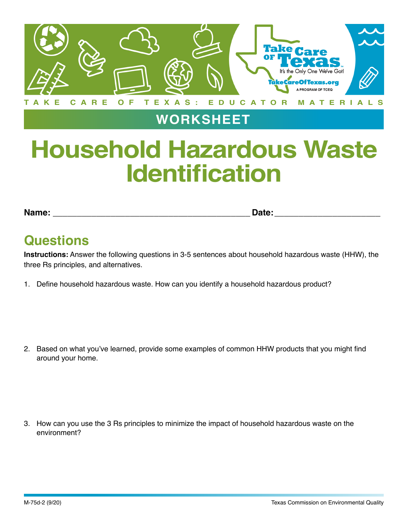

## **WORKSHEET**

## **Household Hazardous Waste Identification**

**Name: \_\_\_\_\_\_\_\_\_\_\_\_\_\_\_\_\_\_\_\_\_\_\_\_\_\_\_\_\_\_\_\_\_\_\_\_\_\_\_\_\_ Date: \_\_\_\_\_\_\_\_\_\_\_\_\_\_\_\_\_\_\_\_\_\_**

## **Questions**

**Instructions:** Answer the following questions in 3-5 sentences about household hazardous waste (HHW), the three Rs principles, and alternatives.

1. Define household hazardous waste. How can you identify a household hazardous product?

2. Based on what you've learned, provide some examples of common HHW products that you might find around your home.

3. How can you use the 3 Rs principles to minimize the impact of household hazardous waste on the environment?